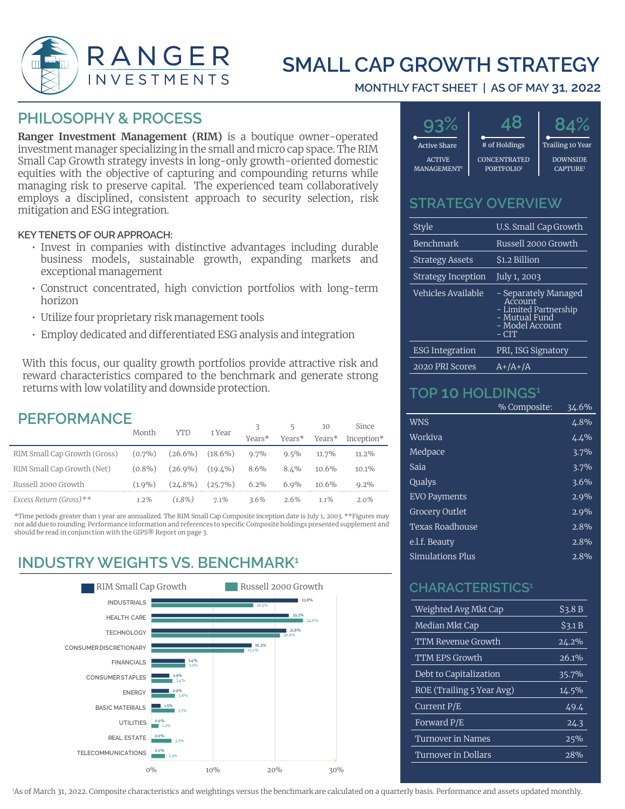

# **SMALL CAP GROWTH STRATEGY**

#### **MONTHLY FACT SHEET | AS OF MAY 31, 2022**

### **PHILOSOPHY & PROCESS**

**Ranger Investment Management (RIM)** is a boutique owner-operated investment manager specializing in the small and micro cap space. The RIM Small Cap Growth strategy invests in long-only growth-oriented domestic equities with the objective of capturing and compounding returns while managing risk to preserve capital. The experienced team collaboratively employs a disciplined, consistent approach to security selection, risk mitigation and ESG integration.

#### **KEY TENETS OF OUR APPROACH:**

- Invest in companies with distinctive advantages including durable business models, sustainable growth, expanding markets and exceptional management
- Construct concentrated, high conviction portfolios with long-term horizon
- Utilize four proprietary risk management tools
- Employ dedicated and differentiated ESG analysis and integration

With this focus, our quality growth portfolios provide attractive risk and reward characteristics compared to the benchmark and generate strong returns with low volatility and downside protection.

### **PERFORMANCE**

|                              | Month     | YTD         | 1 Year     |         |         | 10       | Since      |  |
|------------------------------|-----------|-------------|------------|---------|---------|----------|------------|--|
|                              |           |             |            | Years*  | Years*  | Years*   | Inception* |  |
| RIM Small Cap Growth (Gross) | $(0.7\%)$ | $(26.6\%)$  | $(18.6\%)$ | $9.7\%$ | $9.5\%$ | $11.7\%$ | $11.2\%$   |  |
| RIM Small Cap Growth (Net)   | $(0.8\%)$ | $(2.6.9\%)$ | $(19.4\%)$ | 8.6%    | $8.1\%$ | $10.6\%$ | $10.1\%$   |  |
| Russell 2000 Growth          | $(1.9\%)$ | $(24.8\%)$  | $(25.7\%)$ | $6.2\%$ | $6.9\%$ | 10.6%    | $9.2\%$    |  |
| Excess Return (Gross)**      | 1.2%      | $(1.8\%)$   | $7.1\%$    | $3.6\%$ | $2.6\%$ | $11\%$   | 2.0%       |  |

\*Time periods greater than 1 year are annualized. The RIM Small Cap Composite inception date is July 1, 2003. \*\*Figures may not add due to rounding. Performance information and references to specific Composite holdings presented supplement and should be read in conjunction with the GIPS® Report on page 3.

## **INDUSTRY WEIGHTS VS. BENCHMARK<sup>1</sup>**





#### **STRATEGY OVERVIEW**

| Style                     | U.S. Small Cap Growth                                                                                 |
|---------------------------|-------------------------------------------------------------------------------------------------------|
| Benchmark                 | Russell 2000 Growth                                                                                   |
| <b>Strategy Assets</b>    | \$1.2 Billion                                                                                         |
| <b>Strategy Inception</b> | July 1, 2003                                                                                          |
| Vehicles Available        | - Separately Managed<br>Account<br>- Limited Partnership<br>- Mutual Fund<br>- Model Account<br>– CIT |
| <b>ESG Integration</b>    | PRI, ISG Signatory                                                                                    |
| 2020 PRI Scores           | $A+/A+/A$                                                                                             |

#### **TOP 10 HOLDINGS1**

|                     | % Composite: | 34.6%   |
|---------------------|--------------|---------|
| <b>WNS</b>          |              | 4.8%    |
| Workiva             |              | 4.4%    |
| Medpace             |              | 3.7%    |
| Saia                |              | 3.7%    |
| Qualys              |              | $3.6\%$ |
| <b>EVO Payments</b> |              | $2.9\%$ |
| Grocery Outlet      |              | 2.9%    |
| Texas Roadhouse     |              | 2.8%    |
| e.l.f. Beauty       |              | 2.8%    |
| Simulations Plus    |              | 2.8%    |

#### **CHARACTERISTICS1**

| Weighted Avg Mkt Cap      | \$3.8B  |
|---------------------------|---------|
| Median Mkt Cap            | \$3.1 B |
| TTM Revenue Growth        | 24.2%   |
| <b>TTM EPS Growth</b>     | 26.1%   |
| Debt to Capitalization    | 35.7%   |
| ROE (Trailing 5 Year Avg) | 14.5%   |
| Current P/E               | 49.4    |
| Forward P/E               | 24.3    |
| Turnover in Names         | 25%     |
| Turnover in Dollars       | 2.8%    |

1 As of March 31, 2022. Composite characteristics and weightings versus the benchmark are calculated on a quarterly basis. Performance and assets updated monthly.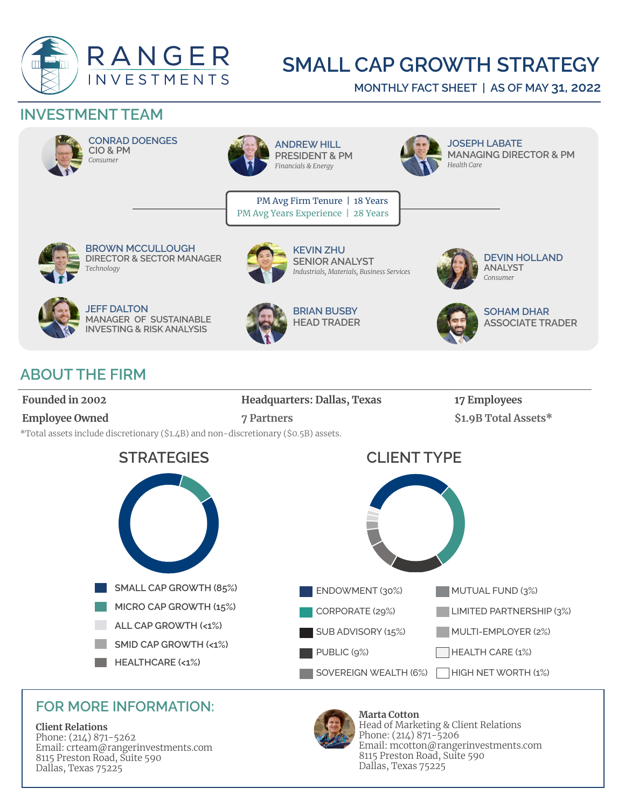

# **SMALL CAP GROWTH STRATEGY**

**MONTHLY FACT SHEET | AS OF MAY 31, 2022**

## **INVESTMENT TEAM**



**CONRAD DOENGES CIO & PM** *Consumer*



**ANDREW HILL PRESIDENT & PM** *Financials & Energy*

**JOSEPH LABATE MANAGING DIRECTOR & PM** *Health Care* 

PM Avg Firm Tenure | 18 Years PM Avg Years Experience | 28 Years



**BROWN MCCULLOUGH DIRECTOR & SECTOR MANAGER** *Technology*



**KEVIN ZHU SENIOR ANALYST**  *Industrials, Materials, Business Services*



**DEVIN HOLLAND ANALYST** *Consumer*



**JEFF DALTON MANAGER OF SUSTAINABLE INVESTING & RISK ANALYSIS**



**BRIAN BUSBY HEAD TRADER** 



**SOHAM DHAR ASSOCIATE TRADER** 

# **ABOUT THE FIRM**

**Founded in 2002 Headquarters: Dallas, Texas 17 Employees Employee Owned 7 Partners 31.9B Total Assets\*** \*Total assets include discretionary (\$1.4B) and non-discretionary (\$0.5B) assets.



## **FOR MORE INFORMATION:**

#### **Client Relations**

Phone: (214) 871-5262 Email: crteam@rangerinvestments.com 8115 Preston Road, Suite 590 Dallas, Texas 75225



**Marta Cotton**  Head of Marketing & Client Relations Phone: (214) 871-5206 Email: mcotton@rangerinvestments.com 8115 Preston Road, Suite 590 Dallas, Texas 75225